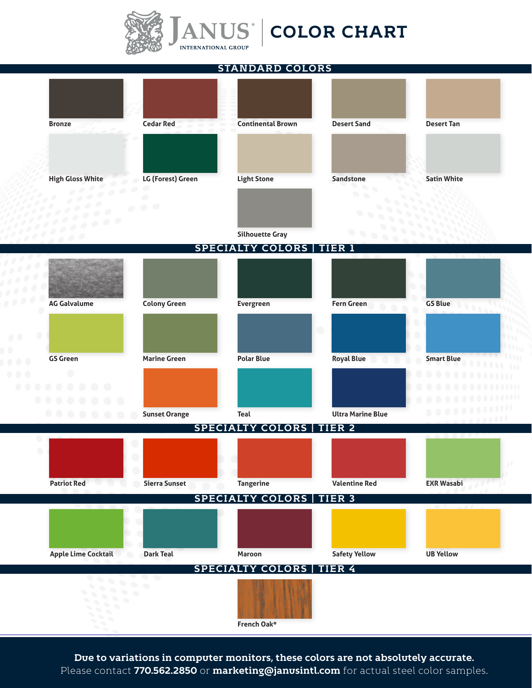

## $\mathbf A\mathbf N\mathbf U\mathbf S^\dagger$  **COLOR CHART**

**STANDARD COLORS**



Due to variations in computer monitors, these colors are not absolutely accurate. Please contact **770.562.2850** or **marketing@janusintl.com** for actual steel color samples.